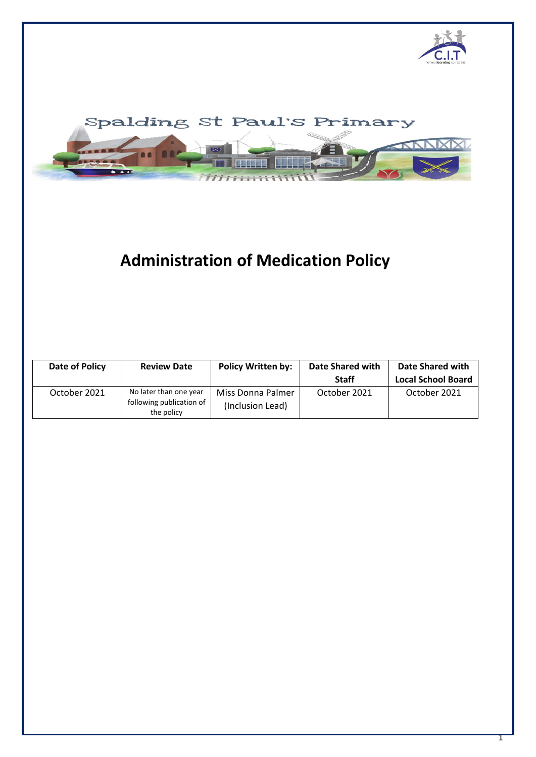



# **Administration of Medication Policy**

| Date of Policy | <b>Review Date</b>                                               | <b>Policy Written by:</b>             | Date Shared with<br><b>Staff</b> | Date Shared with<br><b>Local School Board</b> |
|----------------|------------------------------------------------------------------|---------------------------------------|----------------------------------|-----------------------------------------------|
| October 2021   | No later than one year<br>following publication of<br>the policy | Miss Donna Palmer<br>(Inclusion Lead) | October 2021                     | October 2021                                  |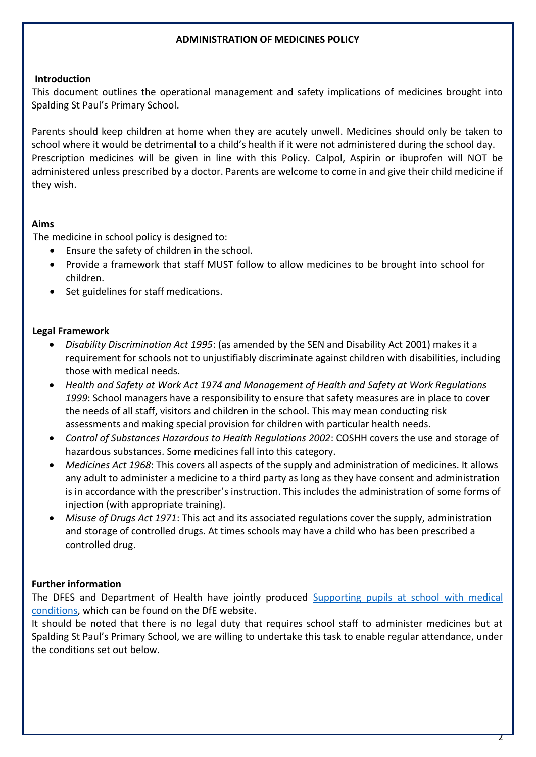## **ADMINISTRATION OF MEDICINES POLICY**

## **Introduction**

This document outlines the operational management and safety implications of medicines brought into Spalding St Paul's Primary School.

Parents should keep children at home when they are acutely unwell. Medicines should only be taken to school where it would be detrimental to a child's health if it were not administered during the school day. Prescription medicines will be given in line with this Policy. Calpol, Aspirin or ibuprofen will NOT be administered unless prescribed by a doctor. Parents are welcome to come in and give their child medicine if they wish.

## **Aims**

The medicine in school policy is designed to:

- Ensure the safety of children in the school.
- Provide a framework that staff MUST follow to allow medicines to be brought into school for children.
- Set guidelines for staff medications.

## **Legal Framework**

- *Disability Discrimination Act 1995*: (as amended by the SEN and Disability Act 2001) makes it a requirement for schools not to unjustifiably discriminate against children with disabilities, including those with medical needs.
- *Health and Safety at Work Act 1974 and Management of Health and Safety at Work Regulations 1999*: School managers have a responsibility to ensure that safety measures are in place to cover the needs of all staff, visitors and children in the school. This may mean conducting risk assessments and making special provision for children with particular health needs.
- *Control of Substances Hazardous to Health Regulations 2002*: COSHH covers the use and storage of hazardous substances. Some medicines fall into this category.
- *Medicines Act 1968*: This covers all aspects of the supply and administration of medicines. It allows any adult to administer a medicine to a third party as long as they have consent and administration is in accordance with the prescriber's instruction. This includes the administration of some forms of injection (with appropriate training).
- *Misuse of Drugs Act 1971*: This act and its associated regulations cover the supply, administration and storage of controlled drugs. At times schools may have a child who has been prescribed a controlled drug.

## **Further information**

The DFES and Department of Health have jointly produced [Supporting pupils at school with medical](https://www.gov.uk/government/publications/supporting-pupils-at-school-with-medical-conditions--3)  [conditions,](https://www.gov.uk/government/publications/supporting-pupils-at-school-with-medical-conditions--3) which can be found on the DfE website.

It should be noted that there is no legal duty that requires school staff to administer medicines but at Spalding St Paul's Primary School, we are willing to undertake this task to enable regular attendance, under the conditions set out below.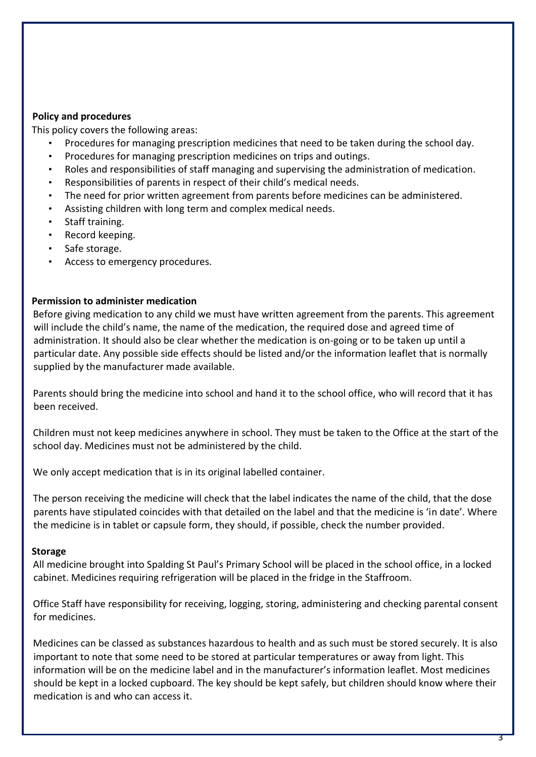## **Policy and procedures**

This policy covers the following areas:

- Procedures for managing prescription medicines that need to be taken during the school day.
- Procedures for managing prescription medicines on trips and outings.
- Roles and responsibilities of staff managing and supervising the administration of medication.
- Responsibilities of parents in respect of their child's medical needs.
- The need for prior written agreement from parents before medicines can be administered.
- Assisting children with long term and complex medical needs.
- Staff training.
- Record keeping.
- Safe storage.
- Access to emergency procedures.

#### **Permission to administer medication**

Before giving medication to any child we must have written agreement from the parents. This agreement will include the child's name, the name of the medication, the required dose and agreed time of administration. It should also be clear whether the medication is on-going or to be taken up until a particular date. Any possible side effects should be listed and/or the information leaflet that is normally supplied by the manufacturer made available.

Parents should bring the medicine into school and hand it to the school office, who will record that it has been received.

Children must not keep medicines anywhere in school. They must be taken to the Office at the start of the school day. Medicines must not be administered by the child.

We only accept medication that is in its original labelled container.

The person receiving the medicine will check that the label indicates the name of the child, that the dose parents have stipulated coincides with that detailed on the label and that the medicine is 'in date'. Where the medicine is in tablet or capsule form, they should, if possible, check the number provided.

#### **Storage**

All medicine brought into Spalding St Paul's Primary School will be placed in the school office, in a locked cabinet. Medicines requiring refrigeration will be placed in the fridge in the Staffroom.

Office Staff have responsibility for receiving, logging, storing, administering and checking parental consent for medicines.

Medicines can be classed as substances hazardous to health and as such must be stored securely. It is also important to note that some need to be stored at particular temperatures or away from light. This information will be on the medicine label and in the manufacturer's information leaflet. Most medicines should be kept in a locked cupboard. The key should be kept safely, but children should know where their medication is and who can access it.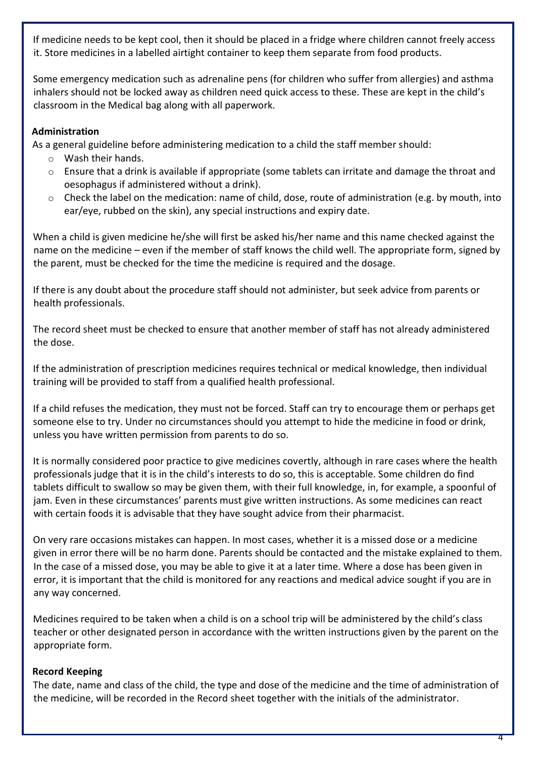If medicine needs to be kept cool, then it should be placed in a fridge where children cannot freely access it. Store medicines in a labelled airtight container to keep them separate from food products.

Some emergency medication such as adrenaline pens (for children who suffer from allergies) and asthma inhalers should not be locked away as children need quick access to these. These are kept in the child's classroom in the Medical bag along with all paperwork.

## **Administration**

As a general guideline before administering medication to a child the staff member should:

- o Wash their hands.
- o Ensure that a drink is available if appropriate (some tablets can irritate and damage the throat and oesophagus if administered without a drink).
- $\circ$  Check the label on the medication: name of child, dose, route of administration (e.g. by mouth, into ear/eye, rubbed on the skin), any special instructions and expiry date.

When a child is given medicine he/she will first be asked his/her name and this name checked against the name on the medicine – even if the member of staff knows the child well. The appropriate form, signed by the parent, must be checked for the time the medicine is required and the dosage.

If there is any doubt about the procedure staff should not administer, but seek advice from parents or health professionals.

The record sheet must be checked to ensure that another member of staff has not already administered the dose.

If the administration of prescription medicines requires technical or medical knowledge, then individual training will be provided to staff from a qualified health professional.

If a child refuses the medication, they must not be forced. Staff can try to encourage them or perhaps get someone else to try. Under no circumstances should you attempt to hide the medicine in food or drink, unless you have written permission from parents to do so.

It is normally considered poor practice to give medicines covertly, although in rare cases where the health professionals judge that it is in the child's interests to do so, this is acceptable. Some children do find tablets difficult to swallow so may be given them, with their full knowledge, in, for example, a spoonful of jam. Even in these circumstances' parents must give written instructions. As some medicines can react with certain foods it is advisable that they have sought advice from their pharmacist.

On very rare occasions mistakes can happen. In most cases, whether it is a missed dose or a medicine given in error there will be no harm done. Parents should be contacted and the mistake explained to them. In the case of a missed dose, you may be able to give it at a later time. Where a dose has been given in error, it is important that the child is monitored for any reactions and medical advice sought if you are in any way concerned.

Medicines required to be taken when a child is on a school trip will be administered by the child's class teacher or other designated person in accordance with the written instructions given by the parent on the appropriate form.

# **Record Keeping**

The date, name and class of the child, the type and dose of the medicine and the time of administration of the medicine, will be recorded in the Record sheet together with the initials of the administrator.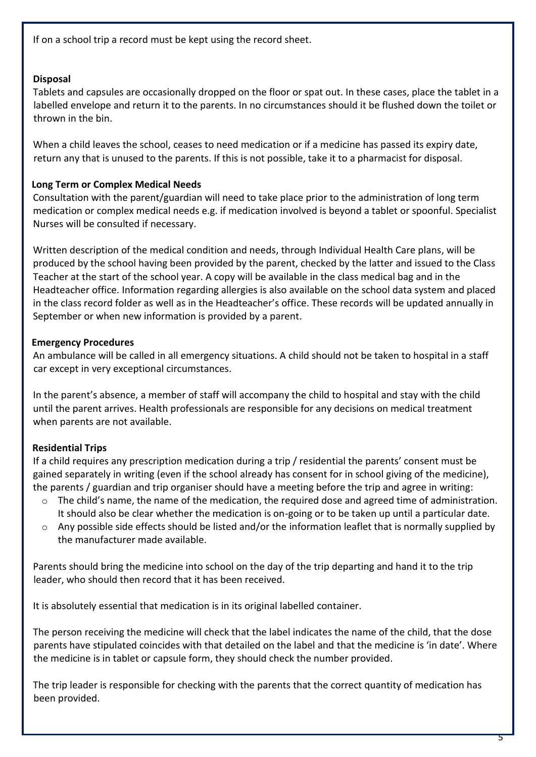If on a school trip a record must be kept using the record sheet.

# **Disposal**

Tablets and capsules are occasionally dropped on the floor or spat out. In these cases, place the tablet in a labelled envelope and return it to the parents. In no circumstances should it be flushed down the toilet or thrown in the bin.

When a child leaves the school, ceases to need medication or if a medicine has passed its expiry date, return any that is unused to the parents. If this is not possible, take it to a pharmacist for disposal.

## **Long Term or Complex Medical Needs**

Consultation with the parent/guardian will need to take place prior to the administration of long term medication or complex medical needs e.g. if medication involved is beyond a tablet or spoonful. Specialist Nurses will be consulted if necessary.

Written description of the medical condition and needs, through Individual Health Care plans, will be produced by the school having been provided by the parent, checked by the latter and issued to the Class Teacher at the start of the school year. A copy will be available in the class medical bag and in the Headteacher office. Information regarding allergies is also available on the school data system and placed in the class record folder as well as in the Headteacher's office. These records will be updated annually in September or when new information is provided by a parent.

# **Emergency Procedures**

An ambulance will be called in all emergency situations. A child should not be taken to hospital in a staff car except in very exceptional circumstances.

In the parent's absence, a member of staff will accompany the child to hospital and stay with the child until the parent arrives. Health professionals are responsible for any decisions on medical treatment when parents are not available.

# **Residential Trips**

If a child requires any prescription medication during a trip / residential the parents' consent must be gained separately in writing (even if the school already has consent for in school giving of the medicine), the parents / guardian and trip organiser should have a meeting before the trip and agree in writing:

- $\circ$  The child's name, the name of the medication, the required dose and agreed time of administration. It should also be clear whether the medication is on-going or to be taken up until a particular date.
- $\circ$  Any possible side effects should be listed and/or the information leaflet that is normally supplied by the manufacturer made available.

Parents should bring the medicine into school on the day of the trip departing and hand it to the trip leader, who should then record that it has been received.

It is absolutely essential that medication is in its original labelled container.

The person receiving the medicine will check that the label indicates the name of the child, that the dose parents have stipulated coincides with that detailed on the label and that the medicine is 'in date'. Where the medicine is in tablet or capsule form, they should check the number provided.

The trip leader is responsible for checking with the parents that the correct quantity of medication has been provided.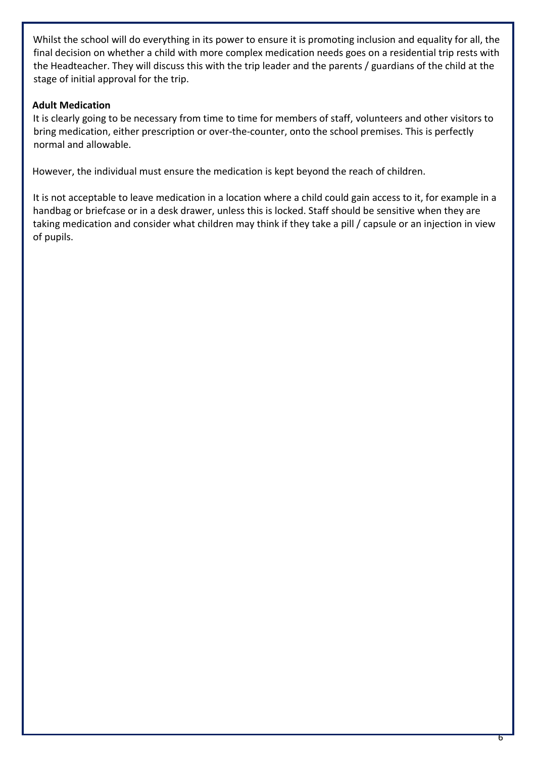Whilst the school will do everything in its power to ensure it is promoting inclusion and equality for all, the final decision on whether a child with more complex medication needs goes on a residential trip rests with the Headteacher. They will discuss this with the trip leader and the parents / guardians of the child at the stage of initial approval for the trip.

## **Adult Medication**

It is clearly going to be necessary from time to time for members of staff, volunteers and other visitors to bring medication, either prescription or over-the-counter, onto the school premises. This is perfectly normal and allowable.

However, the individual must ensure the medication is kept beyond the reach of children.

It is not acceptable to leave medication in a location where a child could gain access to it, for example in a handbag or briefcase or in a desk drawer, unless this is locked. Staff should be sensitive when they are taking medication and consider what children may think if they take a pill / capsule or an injection in view of pupils.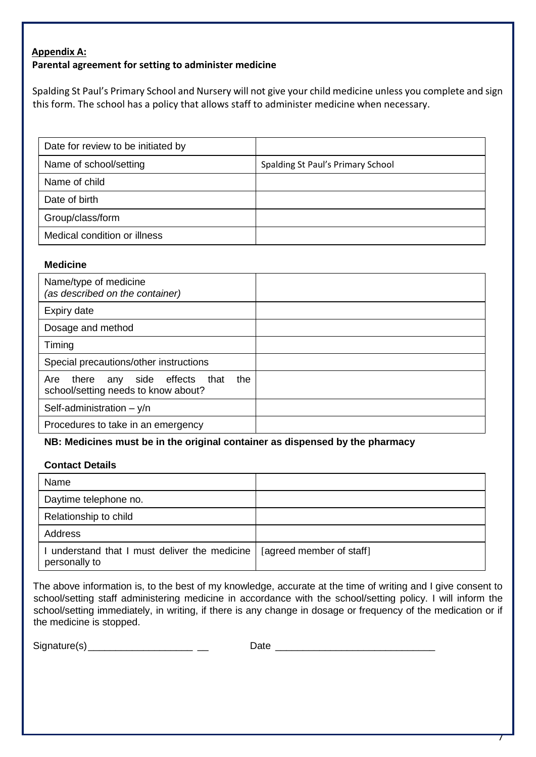## **Appendix A: Parental agreement for setting to administer medicine**

Spalding St Paul's Primary School and Nursery will not give your child medicine unless you complete and sign this form. The school has a policy that allows staff to administer medicine when necessary.

| Date for review to be initiated by |                                   |
|------------------------------------|-----------------------------------|
| Name of school/setting             | Spalding St Paul's Primary School |
| Name of child                      |                                   |
| Date of birth                      |                                   |
| Group/class/form                   |                                   |
| Medical condition or illness       |                                   |

#### **Medicine**

| Name/type of medicine<br>(as described on the container)                            |  |
|-------------------------------------------------------------------------------------|--|
| Expiry date                                                                         |  |
| Dosage and method                                                                   |  |
| Timing                                                                              |  |
| Special precautions/other instructions                                              |  |
| any side effects that<br>the<br>there<br>Are<br>school/setting needs to know about? |  |
| Self-administration $- y/n$                                                         |  |
| Procedures to take in an emergency                                                  |  |

## **NB: Medicines must be in the original container as dispensed by the pharmacy**

#### **Contact Details**

| Name                                                         |                          |
|--------------------------------------------------------------|--------------------------|
| Daytime telephone no.                                        |                          |
| Relationship to child                                        |                          |
| Address                                                      |                          |
| understand that I must deliver the medicine<br>personally to | [agreed member of staff] |

The above information is, to the best of my knowledge, accurate at the time of writing and I give consent to school/setting staff administering medicine in accordance with the school/setting policy. I will inform the school/setting immediately, in writing, if there is any change in dosage or frequency of the medication or if the medicine is stopped.

Signature(s)\_\_\_\_\_\_\_\_\_\_\_\_\_\_\_\_\_\_\_ \_\_ Date \_\_\_\_\_\_\_\_\_\_\_\_\_\_\_\_\_\_\_\_\_\_\_\_\_\_\_\_\_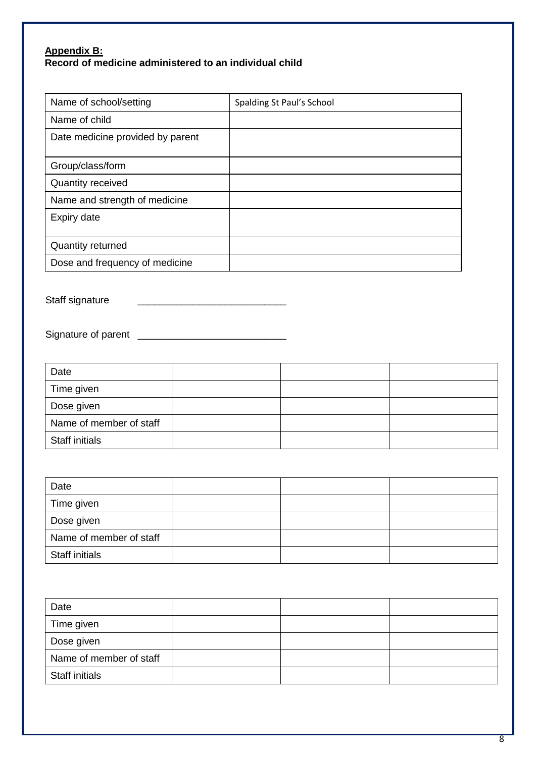## **Appendix B: Record of medicine administered to an individual child**

| Name of school/setting           | Spalding St Paul's School |
|----------------------------------|---------------------------|
| Name of child                    |                           |
| Date medicine provided by parent |                           |
| Group/class/form                 |                           |
| <b>Quantity received</b>         |                           |
| Name and strength of medicine    |                           |
| Expiry date                      |                           |
| <b>Quantity returned</b>         |                           |
| Dose and frequency of medicine   |                           |

Staff signature \_\_\_\_\_\_\_\_\_\_\_\_\_\_\_\_\_\_\_\_\_\_\_\_\_\_\_

Signature of parent \_\_\_\_\_\_\_\_\_\_\_\_\_\_\_\_\_\_\_\_\_\_\_\_\_\_\_

| Date                    |  |  |
|-------------------------|--|--|
| Time given              |  |  |
| Dose given              |  |  |
| Name of member of staff |  |  |
| Staff initials          |  |  |

| Date                    |  |  |
|-------------------------|--|--|
| Time given              |  |  |
| Dose given              |  |  |
| Name of member of staff |  |  |
| <b>Staff initials</b>   |  |  |

| Date                    |  |  |
|-------------------------|--|--|
| Time given              |  |  |
| Dose given              |  |  |
| Name of member of staff |  |  |
| <b>Staff initials</b>   |  |  |